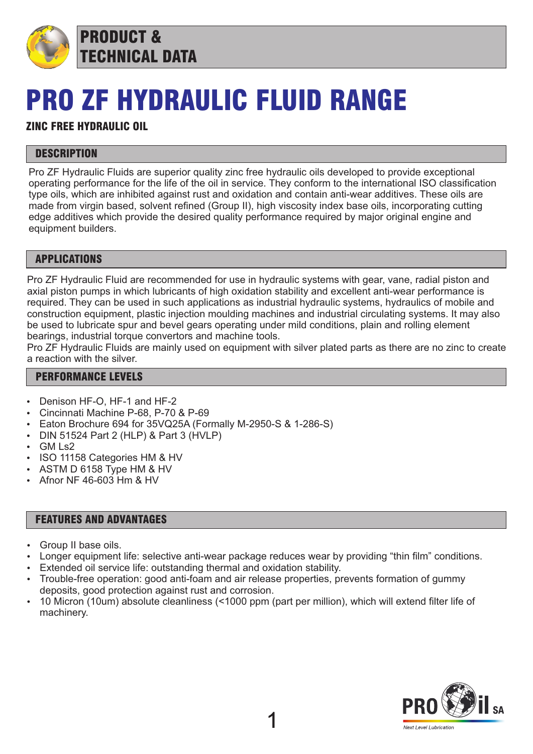

PRODUCT & TECHNICAL DATA

## PRO ZF HYDRAULIC FLUID RANGE

### ZINC FREE HYDRAULIC OIL

#### **DESCRIPTION**

Pro ZF Hydraulic Fluids are superior quality zinc free hydraulic oils developed to provide exceptional operating performance for the life of the oil in service. They conform to the international ISO classification type oils, which are inhibited against rust and oxidation and contain anti-wear additives. These oils are made from virgin based, solvent refined (Group II), high viscosity index base oils, incorporating cutting edge additives which provide the desired quality performance required by major original engine and equipment builders.

#### APPLICATIONS

Pro ZF Hydraulic Fluid are recommended for use in hydraulic systems with gear, vane, radial piston and axial piston pumps in which lubricants of high oxidation stability and excellent anti-wear performance is required. They can be used in such applications as industrial hydraulic systems, hydraulics of mobile and construction equipment, plastic injection moulding machines and industrial circulating systems. It may also be used to lubricate spur and bevel gears operating under mild conditions, plain and rolling element bearings, industrial torque convertors and machine tools.

Pro ZF Hydraulic Fluids are mainly used on equipment with silver plated parts as there are no zinc to create a reaction with the silver.

#### PERFORMANCE LEVELS

- Denison HF-O, HF-1 and HF-2
- Cincinnati Machine P-68, P-70 & P-69
- Eaton Brochure 694 for 35VQ25A (Formally M-2950-S & 1-286-S)
- DIN 51524 Part 2 (HLP) & Part 3 (HVLP)
- GM Ls2
- ISO 11158 Categories HM & HV
- ASTM D 6158 Type HM & HV
- Afnor NF 46-603 Hm & HV

#### FEATURES AND ADVANTAGES

- Group II base oils.
- Longer equipment life: selective anti-wear package reduces wear by providing "thin film" conditions.
- Extended oil service life: outstanding thermal and oxidation stability.
- Trouble-free operation: good anti-foam and air release properties, prevents formation of gummy deposits, good protection against rust and corrosion.
- 10 Micron (10um) absolute cleanliness (<1000 ppm (part per million), which will extend filter life of machinery.